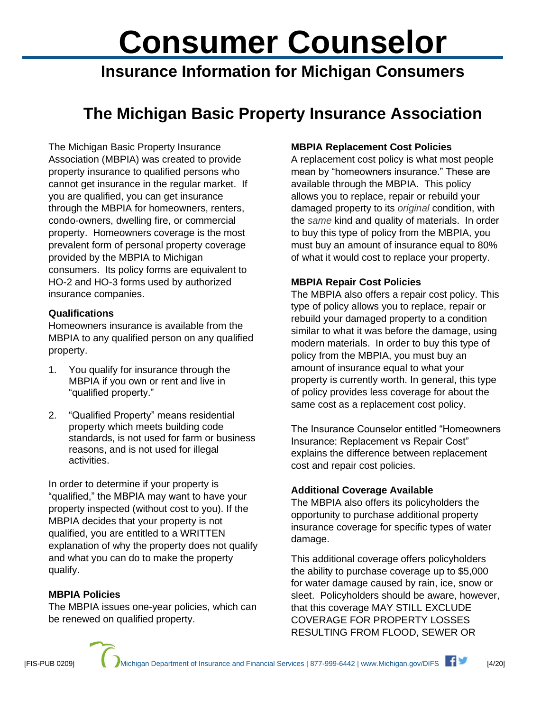# **Consumer Counselor**

**Insurance Information for Michigan Consumers**

# **The Michigan Basic Property Insurance Association**

The Michigan Basic Property Insurance Association (MBPIA) was created to provide property insurance to qualified persons who cannot get insurance in the regular market. If you are qualified, you can get insurance through the MBPIA for homeowners, renters, condo-owners, dwelling fire, or commercial property. Homeowners coverage is the most prevalent form of personal property coverage provided by the MBPIA to Michigan consumers. Its policy forms are equivalent to HO-2 and HO-3 forms used by authorized insurance companies.

#### **Qualifications**

Homeowners insurance is available from the MBPIA to any qualified person on any qualified property.

- 1. You qualify for insurance through the MBPIA if you own or rent and live in "qualified property."
- 2. "Qualified Property" means residential property which meets building code standards, is not used for farm or business reasons, and is not used for illegal activities.

In order to determine if your property is "qualified," the MBPIA may want to have your property inspected (without cost to you). If the MBPIA decides that your property is not qualified, you are entitled to a WRITTEN explanation of why the property does not qualify and what you can do to make the property qualify.

## **MBPIA Policies**

The MBPIA issues one-year policies, which can be renewed on qualified property.

# **MBPIA Replacement Cost Policies**

A replacement cost policy is what most people mean by "homeowners insurance." These are available through the MBPIA. This policy allows you to replace, repair or rebuild your damaged property to its *original* condition, with the *same* kind and quality of materials. In order to buy this type of policy from the MBPIA, you must buy an amount of insurance equal to 80% of what it would cost to replace your property.

## **MBPIA Repair Cost Policies**

The MBPIA also offers a repair cost policy. This type of policy allows you to replace, repair or rebuild your damaged property to a condition similar to what it was before the damage, using modern materials. In order to buy this type of policy from the MBPIA, you must buy an amount of insurance equal to what your property is currently worth. In general, this type of policy provides less coverage for about the same cost as a replacement cost policy.

The Insurance Counselor entitled "Homeowners Insurance: Replacement vs Repair Cost" explains the difference between replacement cost and repair cost policies.

## **Additional Coverage Available**

The MBPIA also offers its policyholders the opportunity to purchase additional property insurance coverage for specific types of water damage.

This additional coverage offers policyholders the ability to purchase coverage up to \$5,000 for water damage caused by rain, ice, snow or sleet. Policyholders should be aware, however, that this coverage MAY STILL EXCLUDE COVERAGE FOR PROPERTY LOSSES RESULTING FROM FLOOD, SEWER OR